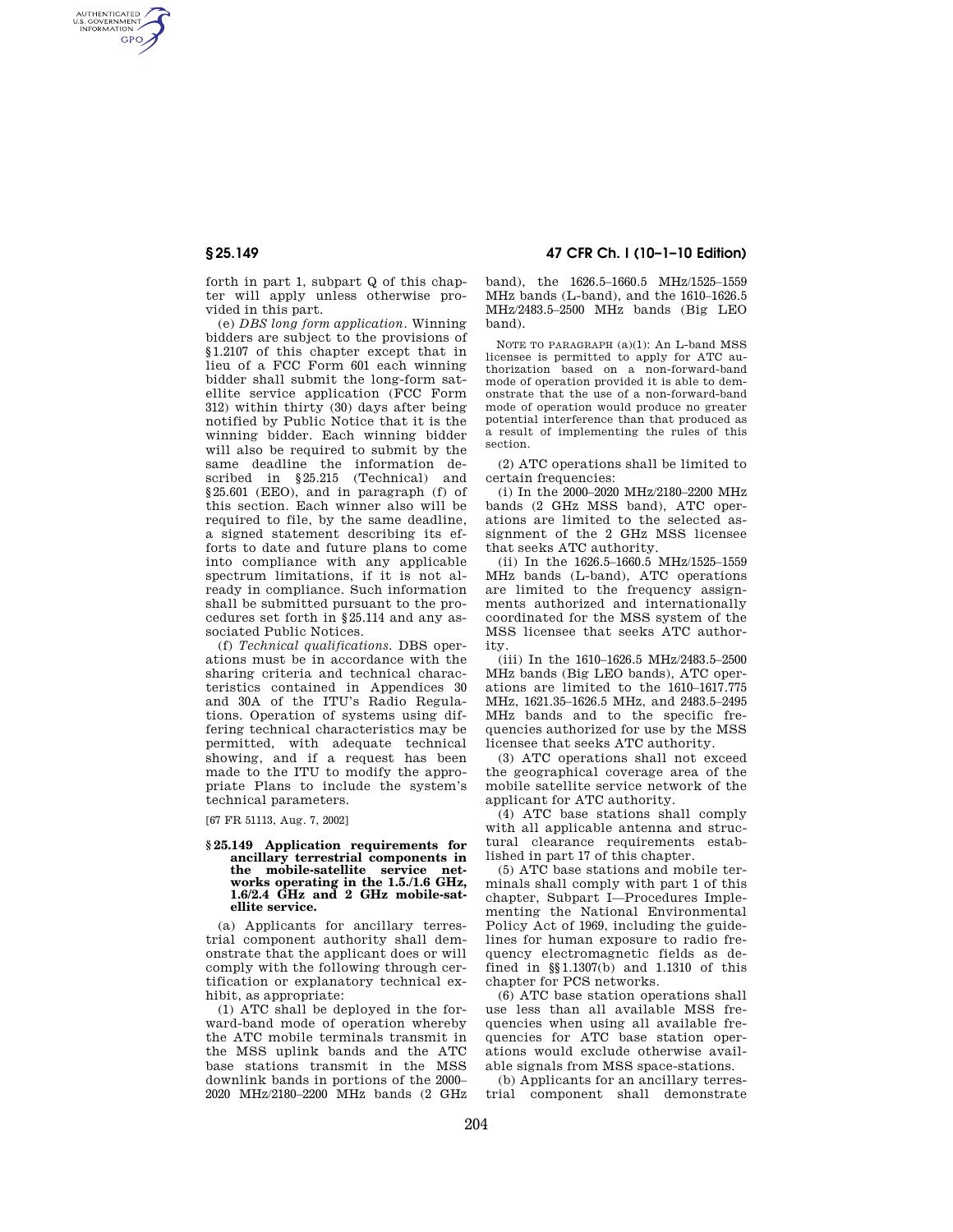AUTHENTICATED<br>U.S. GOVERNMENT<br>INFORMATION **GPO** 

> forth in part 1, subpart Q of this chapter will apply unless otherwise provided in this part.

(e) *DBS long form application.* Winning bidders are subject to the provisions of §1.2107 of this chapter except that in lieu of a FCC Form 601 each winning bidder shall submit the long-form satellite service application (FCC Form 312) within thirty (30) days after being notified by Public Notice that it is the winning bidder. Each winning bidder will also be required to submit by the same deadline the information described in §25.215 (Technical) and §25.601 (EEO), and in paragraph (f) of this section. Each winner also will be required to file, by the same deadline, a signed statement describing its efforts to date and future plans to come into compliance with any applicable spectrum limitations, if it is not already in compliance. Such information shall be submitted pursuant to the procedures set forth in §25.114 and any associated Public Notices.

(f) *Technical qualifications.* DBS operations must be in accordance with the sharing criteria and technical characteristics contained in Appendices 30 and 30A of the ITU's Radio Regulations. Operation of systems using differing technical characteristics may be permitted, with adequate technical showing, and if a request has been made to the ITU to modify the appropriate Plans to include the system's technical parameters.

[67 FR 51113, Aug. 7, 2002]

### **§ 25.149 Application requirements for ancillary terrestrial components in the mobile-satellite service networks operating in the 1.5./1.6 GHz, 1.6/2.4 GHz and 2 GHz mobile-satellite service.**

(a) Applicants for ancillary terrestrial component authority shall demonstrate that the applicant does or will comply with the following through certification or explanatory technical exhibit, as appropriate:

(1) ATC shall be deployed in the forward-band mode of operation whereby the ATC mobile terminals transmit in the MSS uplink bands and the ATC base stations transmit in the MSS downlink bands in portions of the 2000– 2020 MHz/2180–2200 MHz bands (2 GHz

**§ 25.149 47 CFR Ch. I (10–1–10 Edition)** 

band), the 1626.5–1660.5 MHz/1525–1559 MHz bands (L-band), and the 1610–1626.5 MHz/2483.5–2500 MHz bands (Big LEO band).

NOTE TO PARAGRAPH (a)(1): An L-band MSS licensee is permitted to apply for ATC authorization based on a non-forward-band mode of operation provided it is able to demonstrate that the use of a non-forward-band mode of operation would produce no greater potential interference than that produced as a result of implementing the rules of this section.

(2) ATC operations shall be limited to certain frequencies:

(i) In the 2000–2020 MHz/2180–2200 MHz bands (2 GHz MSS band), ATC operations are limited to the selected assignment of the 2 GHz MSS licensee that seeks ATC authority.

(ii) In the 1626.5–1660.5 MHz/1525–1559 MHz bands (L-band), ATC operations are limited to the frequency assignments authorized and internationally coordinated for the MSS system of the MSS licensee that seeks ATC authority.

(iii) In the 1610–1626.5 MHz/2483.5–2500 MHz bands (Big LEO bands), ATC operations are limited to the 1610–1617.775 MHz, 1621.35–1626.5 MHz, and 2483.5–2495 MHz bands and to the specific frequencies authorized for use by the MSS licensee that seeks ATC authority.

(3) ATC operations shall not exceed the geographical coverage area of the mobile satellite service network of the applicant for ATC authority.

(4) ATC base stations shall comply with all applicable antenna and structural clearance requirements established in part 17 of this chapter.

(5) ATC base stations and mobile terminals shall comply with part 1 of this chapter, Subpart I—Procedures Implementing the National Environmental Policy Act of 1969, including the guidelines for human exposure to radio frequency electromagnetic fields as defined in §§1.1307(b) and 1.1310 of this chapter for PCS networks.

(6) ATC base station operations shall use less than all available MSS frequencies when using all available frequencies for ATC base station operations would exclude otherwise available signals from MSS space-stations.

(b) Applicants for an ancillary terrestrial component shall demonstrate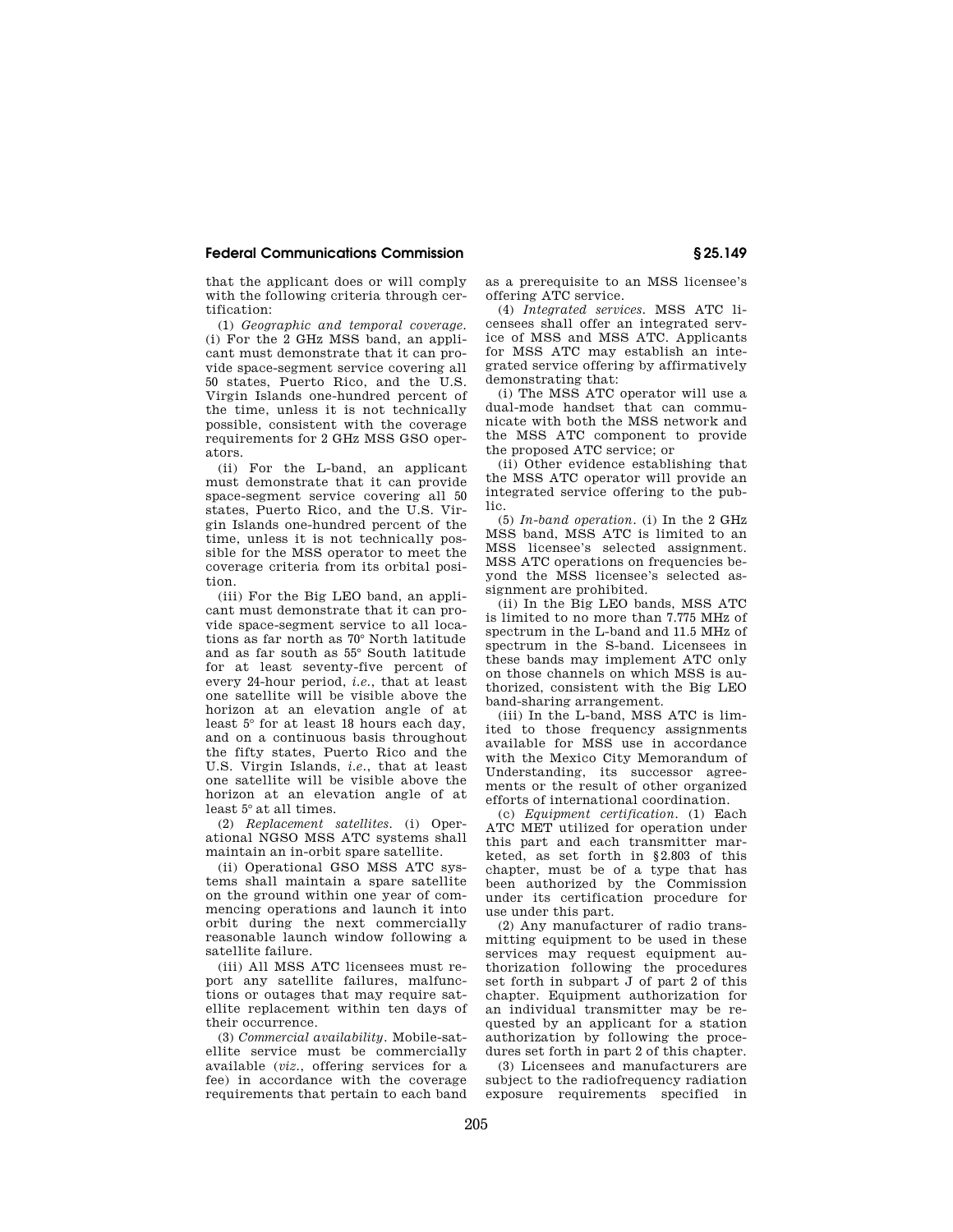## **Federal Communications Commission § 25.149**

that the applicant does or will comply with the following criteria through certification:

(1) *Geographic and temporal coverage.*  (i) For the 2 GHz MSS band, an applicant must demonstrate that it can provide space-segment service covering all 50 states, Puerto Rico, and the U.S. Virgin Islands one-hundred percent of the time, unless it is not technically possible, consistent with the coverage requirements for 2 GHz MSS GSO operators.

(ii) For the L-band, an applicant must demonstrate that it can provide space-segment service covering all 50 states, Puerto Rico, and the U.S. Virgin Islands one-hundred percent of the time, unless it is not technically possible for the MSS operator to meet the coverage criteria from its orbital position.

(iii) For the Big LEO band, an applicant must demonstrate that it can provide space-segment service to all locations as far north as 70° North latitude and as far south as 55° South latitude for at least seventy-five percent of every 24-hour period, *i.e.*, that at least one satellite will be visible above the horizon at an elevation angle of at least 5° for at least 18 hours each day, and on a continuous basis throughout the fifty states, Puerto Rico and the U.S. Virgin Islands, *i.e.*, that at least one satellite will be visible above the horizon at an elevation angle of at least 5° at all times.

(2) *Replacement satellites.* (i) Operational NGSO MSS ATC systems shall maintain an in-orbit spare satellite.

(ii) Operational GSO MSS ATC systems shall maintain a spare satellite on the ground within one year of commencing operations and launch it into orbit during the next commercially reasonable launch window following a satellite failure.

(iii) All MSS ATC licensees must report any satellite failures, malfunctions or outages that may require satellite replacement within ten days of their occurrence.

(3) *Commercial availability.* Mobile-satellite service must be commercially available (*viz.*, offering services for a fee) in accordance with the coverage requirements that pertain to each band as a prerequisite to an MSS licensee's offering ATC service.

(4) *Integrated services.* MSS ATC licensees shall offer an integrated service of MSS and MSS ATC. Applicants for MSS ATC may establish an integrated service offering by affirmatively demonstrating that:

(i) The MSS ATC operator will use a dual-mode handset that can communicate with both the MSS network and the MSS ATC component to provide the proposed ATC service; or

(ii) Other evidence establishing that the MSS ATC operator will provide an integrated service offering to the public.

(5) *In-band operation.* (i) In the 2 GHz MSS band, MSS ATC is limited to an MSS licensee's selected assignment. MSS ATC operations on frequencies beyond the MSS licensee's selected assignment are prohibited.

(ii) In the Big LEO bands, MSS ATC is limited to no more than 7.775 MHz of spectrum in the L-band and 11.5 MHz of spectrum in the S-band. Licensees in these bands may implement ATC only on those channels on which MSS is authorized, consistent with the Big LEO band-sharing arrangement.

(iii) In the L-band, MSS ATC is limited to those frequency assignments available for MSS use in accordance with the Mexico City Memorandum of Understanding, its successor agreements or the result of other organized efforts of international coordination.

(c) *Equipment certification.* (1) Each ATC MET utilized for operation under this part and each transmitter marketed, as set forth in §2.803 of this chapter, must be of a type that has been authorized by the Commission under its certification procedure for use under this part.

(2) Any manufacturer of radio transmitting equipment to be used in these services may request equipment authorization following the procedures set forth in subpart J of part 2 of this chapter. Equipment authorization for an individual transmitter may be requested by an applicant for a station authorization by following the procedures set forth in part 2 of this chapter.

(3) Licensees and manufacturers are subject to the radiofrequency radiation exposure requirements specified in